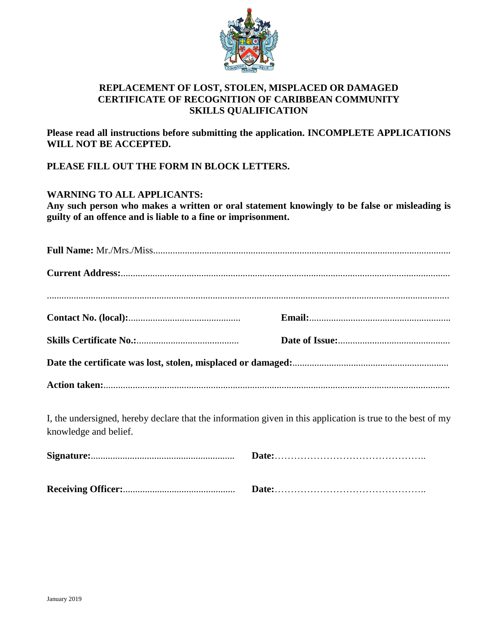

## **REPLACEMENT OF LOST, STOLEN, MISPLACED OR DAMAGED CERTIFICATE OF RECOGNITION OF CARIBBEAN COMMUNITY SKILLS QUALIFICATION**

**Please read all instructions before submitting the application. INCOMPLETE APPLICATIONS WILL NOT BE ACCEPTED.** 

**PLEASE FILL OUT THE FORM IN BLOCK LETTERS.** 

## **WARNING TO ALL APPLICANTS:**

**Any such person who makes a written or oral statement knowingly to be false or misleading is guilty of an offence and is liable to a fine or imprisonment.**

I, the undersigned, hereby declare that the information given in this application is true to the best of my knowledge and belief.